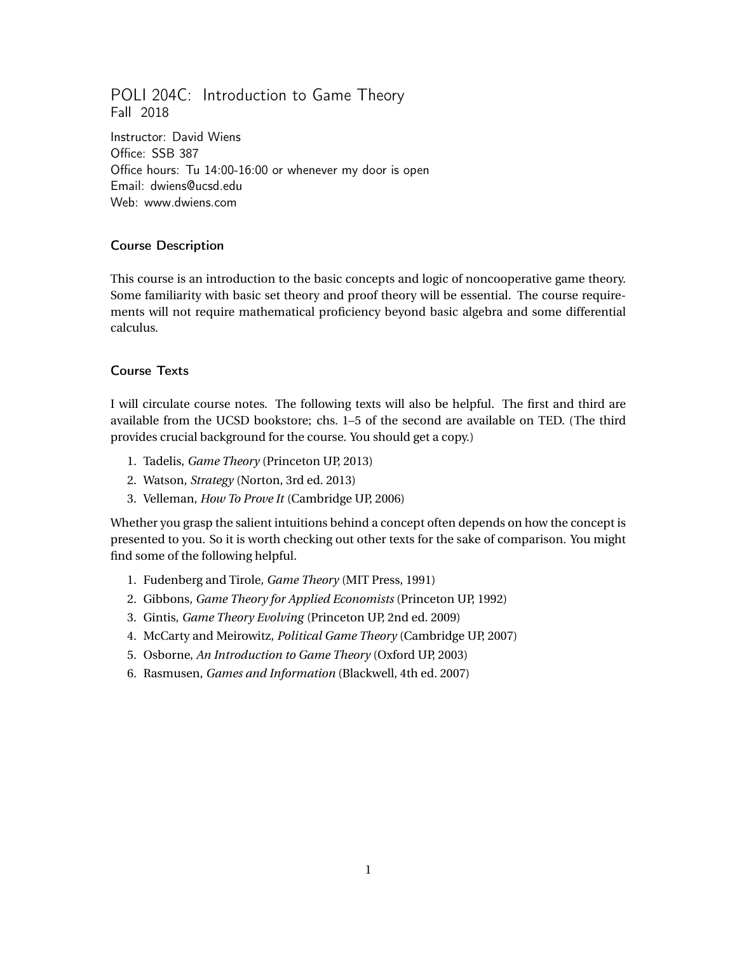# POLI 204C: Introduction to Game Theory Fall 2018

Instructor: David Wiens Office: SSB 387 Office hours: Tu 14:00-16:00 or whenever my door is open Email: dwiens@ucsd.edu Web: www.dwiens.com

## Course Description

This course is an introduction to the basic concepts and logic of noncooperative game theory. Some familiarity with basic set theory and proof theory will be essential. The course requirements will not require mathematical proficiency beyond basic algebra and some differential calculus.

#### Course Texts

I will circulate course notes. The following texts will also be helpful. The first and third are available from the UCSD bookstore; chs. 1–5 of the second are available on TED. (The third provides crucial background for the course. You should get a copy.)

- 1. Tadelis, *Game Theory* (Princeton UP, 2013)
- 2. Watson, *Strategy* (Norton, 3rd ed. 2013)
- 3. Velleman, *How To Prove It* (Cambridge UP, 2006)

Whether you grasp the salient intuitions behind a concept often depends on how the concept is presented to you. So it is worth checking out other texts for the sake of comparison. You might find some of the following helpful.

- 1. Fudenberg and Tirole, *Game Theory* (MIT Press, 1991)
- 2. Gibbons, *Game Theory for Applied Economists* (Princeton UP, 1992)
- 3. Gintis, *Game Theory Evolving* (Princeton UP, 2nd ed. 2009)
- 4. McCarty and Meirowitz, *Political Game Theory* (Cambridge UP, 2007)
- 5. Osborne, *An Introduction to Game Theory* (Oxford UP, 2003)
- 6. Rasmusen, *Games and Information* (Blackwell, 4th ed. 2007)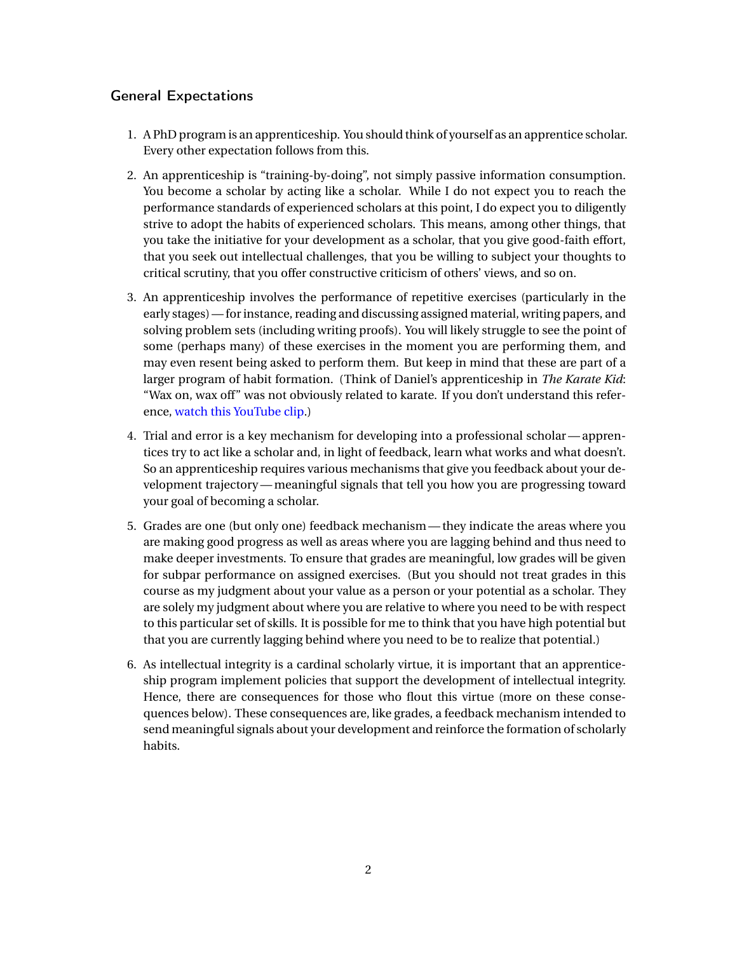## General Expectations

- 1. A PhD program is an apprenticeship. You should think of yourself as an apprentice scholar. Every other expectation follows from this.
- 2. An apprenticeship is "training-by-doing", not simply passive information consumption. You become a scholar by acting like a scholar. While I do not expect you to reach the performance standards of experienced scholars at this point, I do expect you to diligently strive to adopt the habits of experienced scholars. This means, among other things, that you take the initiative for your development as a scholar, that you give good-faith effort, that you seek out intellectual challenges, that you be willing to subject your thoughts to critical scrutiny, that you offer constructive criticism of others' views, and so on.
- 3. An apprenticeship involves the performance of repetitive exercises (particularly in the early stages)— for instance, reading and discussing assigned material, writing papers, and solving problem sets (including writing proofs). You will likely struggle to see the point of some (perhaps many) of these exercises in the moment you are performing them, and may even resent being asked to perform them. But keep in mind that these are part of a larger program of habit formation. (Think of Daniel's apprenticeship in *The Karate Kid*: "Wax on, wax off" was not obviously related to karate. If you don't understand this reference, [watch this YouTube clip.](https://youtu.be/_N7HuhacP2c))
- 4. Trial and error is a key mechanism for developing into a professional scholar— apprentices try to act like a scholar and, in light of feedback, learn what works and what doesn't. So an apprenticeship requires various mechanisms that give you feedback about your development trajectory— meaningful signals that tell you how you are progressing toward your goal of becoming a scholar.
- 5. Grades are one (but only one) feedback mechanism— they indicate the areas where you are making good progress as well as areas where you are lagging behind and thus need to make deeper investments. To ensure that grades are meaningful, low grades will be given for subpar performance on assigned exercises. (But you should not treat grades in this course as my judgment about your value as a person or your potential as a scholar. They are solely my judgment about where you are relative to where you need to be with respect to this particular set of skills. It is possible for me to think that you have high potential but that you are currently lagging behind where you need to be to realize that potential.)
- 6. As intellectual integrity is a cardinal scholarly virtue, it is important that an apprenticeship program implement policies that support the development of intellectual integrity. Hence, there are consequences for those who flout this virtue (more on these consequences below). These consequences are, like grades, a feedback mechanism intended to send meaningful signals about your development and reinforce the formation of scholarly habits.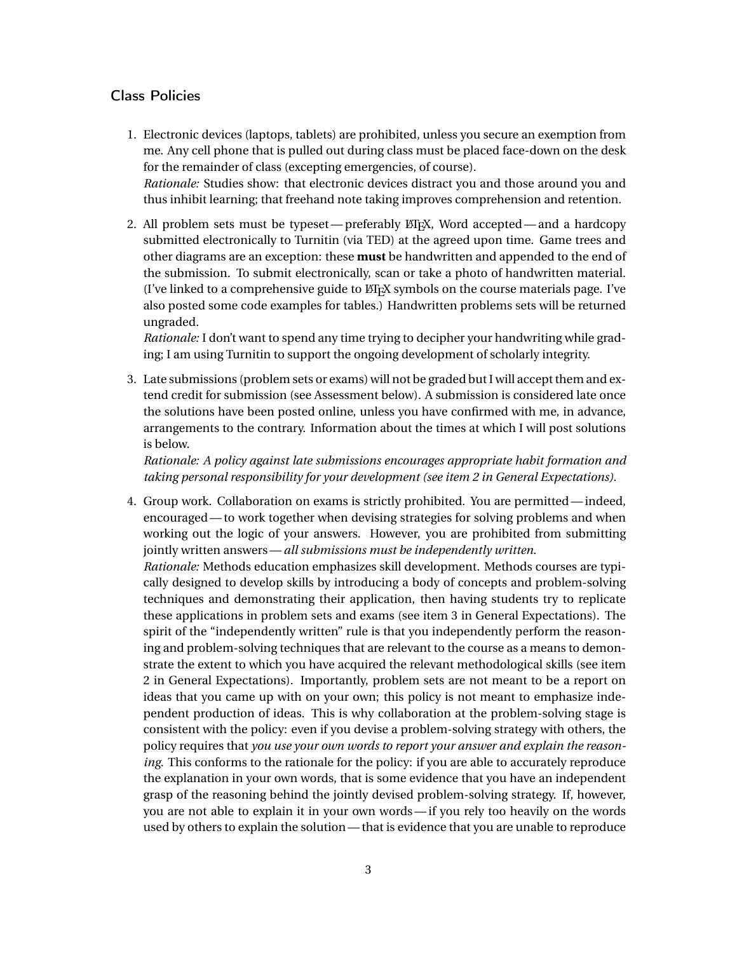### Class Policies

- 1. Electronic devices (laptops, tablets) are prohibited, unless you secure an exemption from me. Any cell phone that is pulled out during class must be placed face-down on the desk for the remainder of class (excepting emergencies, of course). *Rationale:* Studies show: that electronic devices distract you and those around you and thus inhibit learning; that freehand note taking improves comprehension and retention.
- 2. All problem sets must be typeset—preferably ET<sub>EX</sub>, Word accepted—and a hardcopy submitted electronically to Turnitin (via TED) at the agreed upon time. Game trees and other diagrams are an exception: these **must** be handwritten and appended to the end of the submission. To submit electronically, scan or take a photo of handwritten material. (I've linked to a comprehensive guide to  $E/FX$  symbols on the course materials page. I've also posted some code examples for tables.) Handwritten problems sets will be returned ungraded.

*Rationale:* I don't want to spend any time trying to decipher your handwriting while grading; I am using Turnitin to support the ongoing development of scholarly integrity.

3. Late submissions (problem sets or exams) will not be graded but I will accept them and extend credit for submission (see Assessment below). A submission is considered late once the solutions have been posted online, unless you have confirmed with me, in advance, arrangements to the contrary. Information about the times at which I will post solutions is below.

*Rationale: A policy against late submissions encourages appropriate habit formation and taking personal responsibility for your development (see item 2 in General Expectations).*

4. Group work. Collaboration on exams is strictly prohibited. You are permitted— indeed, encouraged— to work together when devising strategies for solving problems and when working out the logic of your answers. However, you are prohibited from submitting jointly written answers—*all submissions must be independently written*.

*Rationale:* Methods education emphasizes skill development. Methods courses are typically designed to develop skills by introducing a body of concepts and problem-solving techniques and demonstrating their application, then having students try to replicate these applications in problem sets and exams (see item 3 in General Expectations). The spirit of the "independently written" rule is that you independently perform the reasoning and problem-solving techniques that are relevant to the course as a means to demonstrate the extent to which you have acquired the relevant methodological skills (see item 2 in General Expectations). Importantly, problem sets are not meant to be a report on ideas that you came up with on your own; this policy is not meant to emphasize independent production of ideas. This is why collaboration at the problem-solving stage is consistent with the policy: even if you devise a problem-solving strategy with others, the policy requires that *you use your own words to report your answer and explain the reasoning*. This conforms to the rationale for the policy: if you are able to accurately reproduce the explanation in your own words, that is some evidence that you have an independent grasp of the reasoning behind the jointly devised problem-solving strategy. If, however, you are not able to explain it in your own words— if you rely too heavily on the words used by others to explain the solution— that is evidence that you are unable to reproduce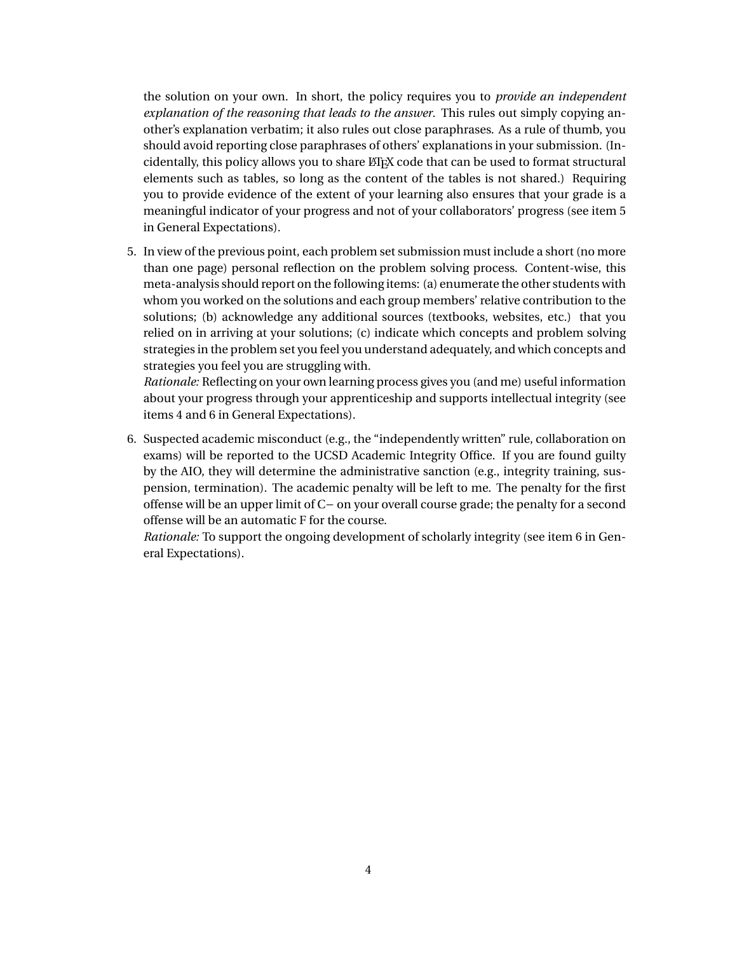the solution on your own. In short, the policy requires you to *provide an independent explanation of the reasoning that leads to the answer*. This rules out simply copying another's explanation verbatim; it also rules out close paraphrases. As a rule of thumb, you should avoid reporting close paraphrases of others' explanations in your submission. (Incidentally, this policy allows you to share LATEX code that can be used to format structural elements such as tables, so long as the content of the tables is not shared.) Requiring you to provide evidence of the extent of your learning also ensures that your grade is a meaningful indicator of your progress and not of your collaborators' progress (see item 5 in General Expectations).

5. In view of the previous point, each problem set submission must include a short (no more than one page) personal reflection on the problem solving process. Content-wise, this meta-analysis should report on the following items: (a) enumerate the other students with whom you worked on the solutions and each group members' relative contribution to the solutions; (b) acknowledge any additional sources (textbooks, websites, etc.) that you relied on in arriving at your solutions; (c) indicate which concepts and problem solving strategies in the problem set you feel you understand adequately, and which concepts and strategies you feel you are struggling with.

*Rationale:* Reflecting on your own learning process gives you (and me) useful information about your progress through your apprenticeship and supports intellectual integrity (see items 4 and 6 in General Expectations).

6. Suspected academic misconduct (e.g., the "independently written" rule, collaboration on exams) will be reported to the UCSD Academic Integrity Office. If you are found guilty by the AIO, they will determine the administrative sanction (e.g., integrity training, suspension, termination). The academic penalty will be left to me. The penalty for the first offense will be an upper limit of C− on your overall course grade; the penalty for a second offense will be an automatic F for the course.

*Rationale:* To support the ongoing development of scholarly integrity (see item 6 in General Expectations).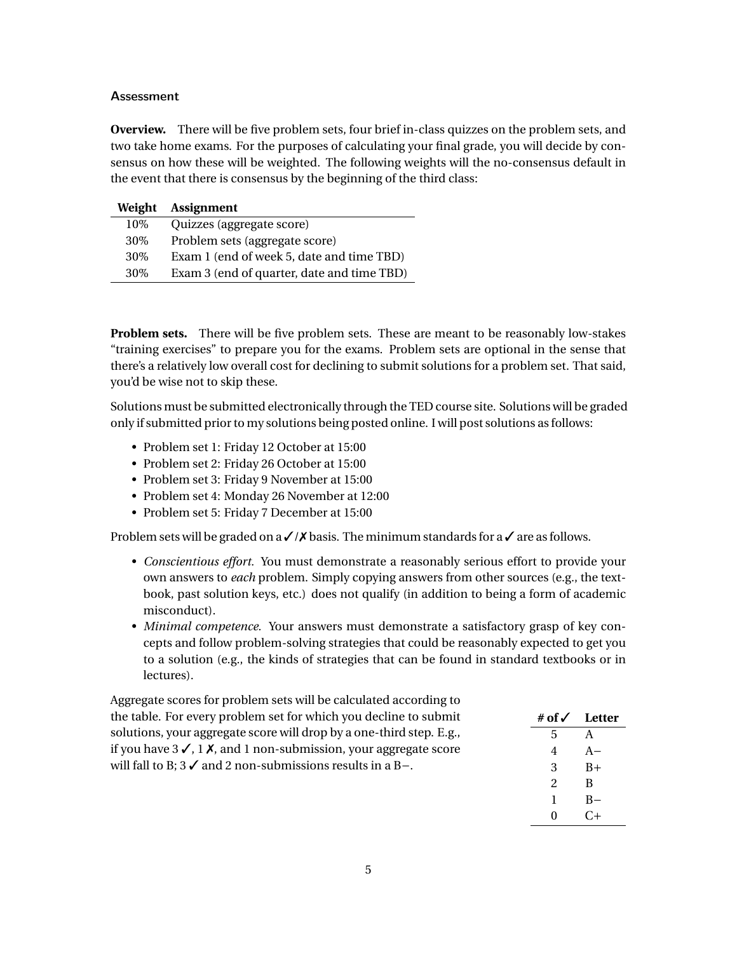#### **Assessment**

**Overview.** There will be five problem sets, four brief in-class quizzes on the problem sets, and two take home exams. For the purposes of calculating your final grade, you will decide by consensus on how these will be weighted. The following weights will the no-consensus default in the event that there is consensus by the beginning of the third class:

|        | Weight Assignment                          |
|--------|--------------------------------------------|
| 10%    | Quizzes (aggregate score)                  |
| 30%    | Problem sets (aggregate score)             |
| $30\%$ | Exam 1 (end of week 5, date and time TBD)  |
| 30%    | Exam 3 (end of quarter, date and time TBD) |

**Problem sets.** There will be five problem sets. These are meant to be reasonably low-stakes "training exercises" to prepare you for the exams. Problem sets are optional in the sense that there's a relatively low overall cost for declining to submit solutions for a problem set. That said, you'd be wise not to skip these.

Solutions must be submitted electronically through the TED course site. Solutions will be graded only if submitted prior to my solutions being posted online. I will post solutions as follows:

- Problem set 1: Friday 12 October at 15:00
- Problem set 2: Friday 26 October at 15:00
- Problem set 3: Friday 9 November at 15:00
- Problem set 4: Monday 26 November at 12:00
- Problem set 5: Friday 7 December at 15:00

Problem sets will be graded on a  $\angle$  / $\angle$  basis. The minimum standards for a  $\angle$  are as follows.

- *Conscientious effort.* You must demonstrate a reasonably serious effort to provide your own answers to *each* problem. Simply copying answers from other sources (e.g., the textbook, past solution keys, etc.) does not qualify (in addition to being a form of academic misconduct).
- *Minimal competence.* Your answers must demonstrate a satisfactory grasp of key concepts and follow problem-solving strategies that could be reasonably expected to get you to a solution (e.g., the kinds of strategies that can be found in standard textbooks or in lectures).

Aggregate scores for problem sets will be calculated according to the table. For every problem set for which you decline to submit solutions, your aggregate score will drop by a one-third step. E.g., if you have  $3\checkmark$ , 1 $\checkmark$ , and 1 non-submission, your aggregate score will fall to B; 3 ✓ and 2 non-submissions results in a B−.

| # of √         | Letter |
|----------------|--------|
| 5              | A      |
| 4              | $A -$  |
| 3              | $B+$   |
| $\overline{c}$ | B      |
| 1              | $B -$  |
| 0              | C+     |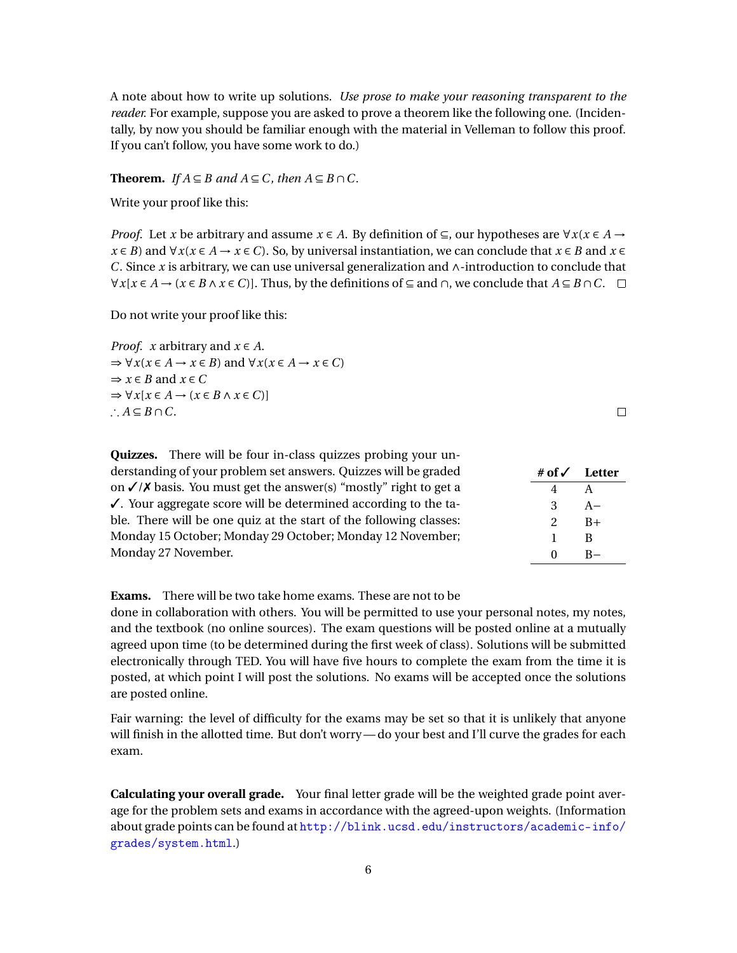A note about how to write up solutions. *Use prose to make your reasoning transparent to the reader.* For example, suppose you are asked to prove a theorem like the following one. (Incidentally, by now you should be familiar enough with the material in Velleman to follow this proof. If you can't follow, you have some work to do.)

**Theorem.** *If*  $A \subseteq B$  *and*  $A \subseteq C$ *, then*  $A \subseteq B \cap C$ .

Write your proof like this:

*Proof.* Let *x* be arbitrary and assume  $x \in A$ . By definition of  $\subseteq$ , our hypotheses are  $\forall x (x \in A \rightarrow$ *x* ∈ *B*) and  $\forall x(x \in A \rightarrow x \in C)$ . So, by universal instantiation, we can conclude that  $x \in B$  and  $x \in C$ . *C*. Since *x* is arbitrary, we can use universal generalization and ∧-introduction to conclude that  $\forall x[x \in A \rightarrow (x \in B \land x \in C)]$ . Thus, by the definitions of ⊆ and  $\cap$ , we conclude that  $A \subseteq B \cap C$ . □

Do not write your proof like this:

*Proof. x* arbitrary and  $x \in A$ .  $\Rightarrow \forall x (x \in A \rightarrow x \in B)$  and  $\forall x (x \in A \rightarrow x \in C)$  $\Rightarrow$  *x*  $\in$  *B* and *x*  $\in$  *C*  $\Rightarrow \forall x[x \in A \rightarrow (x \in B \land x \in C)]$ ∴  $A \subseteq B \cap C$ .

 $\Box$ 

**# of** ✓ **Letter** 4 A 3 A−  $2 \overline{B} +$ 1 B 0 B−

|                                                                    | <b>Quizzes.</b> There will be four in-class quizzes probing your un-         |  |
|--------------------------------------------------------------------|------------------------------------------------------------------------------|--|
|                                                                    | derstanding of your problem set answers. Quizzes will be graded              |  |
|                                                                    | on $\sqrt{\prime}$ basis. You must get the answer(s) "mostly" right to get a |  |
|                                                                    | $\checkmark$ . Your aggregate score will be determined according to the ta-  |  |
| ble. There will be one quiz at the start of the following classes: |                                                                              |  |
| Monday 15 October; Monday 29 October; Monday 12 November;          |                                                                              |  |
| Monday 27 November.                                                |                                                                              |  |

**Exams.** There will be two take home exams. These are not to be

done in collaboration with others. You will be permitted to use your personal notes, my notes, and the textbook (no online sources). The exam questions will be posted online at a mutually agreed upon time (to be determined during the first week of class). Solutions will be submitted electronically through TED. You will have five hours to complete the exam from the time it is posted, at which point I will post the solutions. No exams will be accepted once the solutions are posted online.

Fair warning: the level of difficulty for the exams may be set so that it is unlikely that anyone will finish in the allotted time. But don't worry— do your best and I'll curve the grades for each exam.

**Calculating your overall grade.** Your final letter grade will be the weighted grade point average for the problem sets and exams in accordance with the agreed-upon weights. (Information about grade points can be found at [http://blink.ucsd.edu/instructors/academic-info/](http://blink.ucsd.edu/instructors/academic-info/grades/system.html) [grades/system.html](http://blink.ucsd.edu/instructors/academic-info/grades/system.html).)